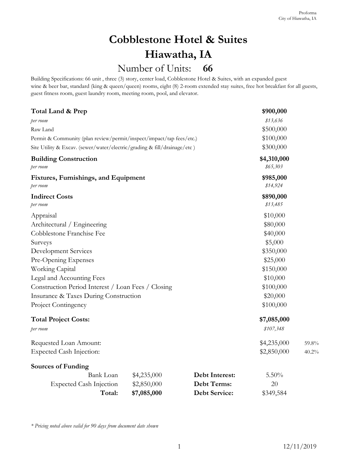## **66** Number of Units: **Cobblestone Hotel & Suites Hiawatha, IA**

|                                                                                                                                                                                                                                                                                                                                    |                  |                                       |                            | Proforma<br>City of Hiawatha, IA |
|------------------------------------------------------------------------------------------------------------------------------------------------------------------------------------------------------------------------------------------------------------------------------------------------------------------------------------|------------------|---------------------------------------|----------------------------|----------------------------------|
|                                                                                                                                                                                                                                                                                                                                    |                  | <b>Cobblestone Hotel &amp; Suites</b> |                            |                                  |
|                                                                                                                                                                                                                                                                                                                                    |                  | Hiawatha, IA                          |                            |                                  |
|                                                                                                                                                                                                                                                                                                                                    | Number of Units: | 66                                    |                            |                                  |
| Building Specifications: 66 unit, three (3) story, center load, Cobblestone Hotel & Suites, with an expanded guest<br>wine & beer bar, standard (king & queen/queen) rooms, eight (8) 2-room extended stay suites, free hot breakfast for all guests,<br>guest fitness room, guest laundry room, meeting room, pool, and elevator. |                  |                                       |                            |                                  |
| Total Land & Prep                                                                                                                                                                                                                                                                                                                  |                  |                                       | \$900,000                  |                                  |
| per room                                                                                                                                                                                                                                                                                                                           |                  |                                       | \$13,636                   |                                  |
| Raw Land                                                                                                                                                                                                                                                                                                                           |                  |                                       | \$500,000                  |                                  |
| Permit & Community (plan review/permit/inspect/impact/tap fees/etc.)                                                                                                                                                                                                                                                               |                  |                                       | \$100,000                  |                                  |
| Site Utility & Excav. (sewer/water/electric/grading & fill/drainage/etc)                                                                                                                                                                                                                                                           |                  |                                       | \$300,000                  |                                  |
| <b>Building Construction</b><br>per room                                                                                                                                                                                                                                                                                           |                  |                                       | \$4,310,000<br>\$65,303    |                                  |
| Fixtures, Furnishings, and Equipment<br>per room                                                                                                                                                                                                                                                                                   |                  |                                       | \$985,000<br>\$14,924      |                                  |
| <b>Indirect Costs</b><br>per room                                                                                                                                                                                                                                                                                                  |                  |                                       | \$890,000<br>\$13,485      |                                  |
| Appraisal                                                                                                                                                                                                                                                                                                                          |                  |                                       | \$10,000                   |                                  |
| Architectural / Engineering                                                                                                                                                                                                                                                                                                        |                  |                                       | \$80,000                   |                                  |
| Cobblestone Franchise Fee                                                                                                                                                                                                                                                                                                          |                  |                                       | \$40,000                   |                                  |
| Surveys                                                                                                                                                                                                                                                                                                                            |                  |                                       | \$5,000                    |                                  |
| Development Services                                                                                                                                                                                                                                                                                                               |                  |                                       | \$350,000                  |                                  |
| Pre-Opening Expenses                                                                                                                                                                                                                                                                                                               |                  |                                       | \$25,000                   |                                  |
| Working Capital                                                                                                                                                                                                                                                                                                                    |                  |                                       | \$150,000                  |                                  |
| Legal and Accounting Fees                                                                                                                                                                                                                                                                                                          |                  |                                       | \$10,000                   |                                  |
| Construction Period Interest / Loan Fees / Closing                                                                                                                                                                                                                                                                                 |                  |                                       | \$100,000                  |                                  |
| Insurance & Taxes During Construction                                                                                                                                                                                                                                                                                              |                  |                                       | \$20,000                   |                                  |
| Project Contingency                                                                                                                                                                                                                                                                                                                |                  |                                       | \$100,000                  |                                  |
| <b>Total Project Costs:</b><br>per room                                                                                                                                                                                                                                                                                            |                  |                                       | \$7,085,000<br>\$107,348   |                                  |
| Requested Loan Amount:<br><b>Expected Cash Injection:</b>                                                                                                                                                                                                                                                                          |                  |                                       | \$4,235,000<br>\$2,850,000 | 59.8%<br>40.2%                   |
| <b>Sources of Funding</b>                                                                                                                                                                                                                                                                                                          |                  |                                       |                            |                                  |
| <b>Bank</b> Loan                                                                                                                                                                                                                                                                                                                   | \$4,235,000      | Debt Interest:                        | $5.50\%$                   |                                  |
| <b>Expected Cash Injection</b>                                                                                                                                                                                                                                                                                                     | \$2,850,000      | Debt Terms:                           | 20                         |                                  |
| Total:                                                                                                                                                                                                                                                                                                                             | \$7,085,000      | <b>Debt Service:</b>                  | \$349,584                  |                                  |
| * Pricing noted above valid for 90 days from document date shown                                                                                                                                                                                                                                                                   |                  |                                       |                            |                                  |
|                                                                                                                                                                                                                                                                                                                                    |                  | 1                                     |                            | 12/11/2019                       |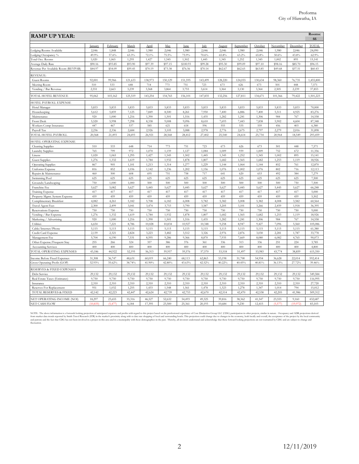|                                                        |                     |                    |                 |                  |                  |                  |                  |                  |                   |                  |                    |                   | Rooms:<br>66      |
|--------------------------------------------------------|---------------------|--------------------|-----------------|------------------|------------------|------------------|------------------|------------------|-------------------|------------------|--------------------|-------------------|-------------------|
|                                                        | January             | February           | March           | April            | May              | June             | July             | August           | September         | October          | November           | December          | TOTAI             |
| Lodging Rooms Available<br>Lodging Occupancy %         | 2,046<br>49.9%      | 1,848<br>57.6%     | 2,046<br>63.3%  | 1,980<br>72.1%   | 2,046<br>75.5%   | 1,980<br>75.9%   | 2,046<br>70.6%   | 2,046<br>65.8%   | 1,980<br>$63.2\%$ | 2,046<br>65.8%   | 1,980<br>50.6%     | 2,046<br>43.8%    | 24,090<br>62.9%   |
| Total Occ. Rooms                                       | 1,020               | 1,065              | 1,295           | 1,427            | 1,545            | 1,502            | 1,445            | 1,345            | 1,252             | 1,345            | 1,002              | 895               | 15,141            |
| Average Daily Rate                                     | \$90.16             | \$93.85            | \$93.90         | \$97.39          | \$97.15          | \$100.93         | \$99.28          | \$95.30          | \$99.09           | \$97.10          | \$98.16            | \$85.70           | \$96.15           |
| Revenue Per Available Room (REVPAR)                    | \$44.97             | \$54.09            | \$59.45         | \$70.19          | \$73.38          | \$76.56          | \$70.14          | \$62.67          | \$62.65           | \$63.85          | \$49.68            | \$37.51           | \$60.43           |
| REVENUE:<br>Guest Rooms                                | 92,001              | 99,966             | 121,633         | 138,973          | 150,129          | 151,595          | 143,499          | 128,220          | 124,055           | 130,634          | 98,360             | 76,735            | 1,455,800         |
| Meeting Room                                           | 510                 | 533                | 648             | 714              | 773              | 751              | 723              | 673              | 626               | 673              | 501                | 448               | 7,571             |
| Vending / Bar Revenue                                  | 2,551               | 2,663              | 3,239           | 3,568            | 3,864            | 3,755            | 3,614            | 3,364            | 3,130             | 3,364            | 2,505              | 2,239             | 37,853            |
| TOTAL HOTEL REVENUE                                    | 95,062              | 103,162            | 125,519         | 143,254          | 154,765          | 156,101          | 147,835          | 132,256          | 127,811           | 134,671          | 101,366            | 79,422            | 1,501,223         |
| IOTEL PAYROLL EXPENSE                                  |                     |                    |                 |                  |                  |                  |                  |                  |                   |                  |                    |                   |                   |
| Hotel Manager                                          | 5,833               | 5,833              | 5,833           | 5,833            | 5,833            | 5,833            | 5,833            | 5,833            | 5,833             | 5,833            | 5,833              | 5,833             | 70,000            |
| Housekeeping<br>Maintenance                            | 5,612<br>920        | 5,859<br>1,000     | 7,125<br>1,216  | 7,849<br>1,390   | 8,500<br>1,501   | 8,261<br>1,516   | 7,950<br>1,435   | 7,400<br>1,282   | 6,886<br>1,241    | 7,400<br>1,306   | 5,511<br>984       | 4,925<br>767      | 83,276<br>14,558  |
| Front Desk                                             | 5,520               | 5,998              | 7,298           | 8,338            | 9,008            | 9,096            | 8,610            | 7,693            | 7,443             | 7,838            | 5,902              | 4,604             | 87,348            |
| Workers Comp Insurance                                 | 447                 | 467                | 537             | 585              | 621              | 618              | 596              | 555              | 535               | 559              | 456                | 403               | 6,380             |
| Payroll Tax<br><b>FOTAL HOTEL PAYROLI</b>              | 2,236<br>20,568     | 2,336<br>21,493    | 2,684<br>24,693 | 2,926<br>26,921  | 3,105<br>28,568  | 3,088<br>28,412  | 2,978<br>27,402  | 2,776<br>25,540  | 2,675<br>24,614   | 2,797<br>25,734  | 2,279<br>20,964    | 2,016<br>18,549   | 31,898<br>293,459 |
| <b>IOTEL OPERATING EXPENSE</b>                         |                     |                    |                 |                  |                  |                  |                  |                  |                   |                  |                    |                   |                   |
| Cleaning Supplies                                      | 510                 | 533                | 648             | 714              | 773              | 751              | 723              | 673              | 626               | 673              | 501                | 448               | 7,571             |
| Laundry Supplies                                       | 765                 | 799                | 972             | 1,070            | 1,159            | 1,127            | 1,084            | 1,009            | 939               | 1,009            | 752                | 672               | 11,356            |
| Linens<br><b>Guest Supplies</b>                        | 1,020<br>1,276      | 1,065<br>1,332     | 1,295<br>1,619  | 1,427<br>1,784   | 1,545<br>1,932   | 1,502<br>1,878   | 1,445<br>1,807   | 1,345<br>1,682   | 1,252<br>1,565    | 1,345<br>1,682   | 1,002<br>1,253     | 895<br>1,119      | 15,141<br>18,926  |
| <b>Operating Supplies</b>                              | 867                 | 905                | 1,101           | 1,213            | 1,314            | 1,277            | 1,229            | 1,144            | 1,064             | 1,144            | 852                | 761               | 12,870            |
| Uniforms Expense                                       | 816                 | 852                | 1,036           | 1,142            | 1,236            | 1,202            | 1,156            | 1,076            | 1,002             | 1,076            | 802                | 716               | 12,113            |
| Repairs & Maintenance<br>Swimming Pool                 | 460<br>625          | 500<br>625         | 608<br>625      | 695<br>625       | 751<br>625       | 758<br>625       | 717<br>625       | 641<br>625       | 620<br>625        | 653<br>625       | 492<br>625         | 384<br>625        | 7,279<br>7,500    |
| Grounds/Landscaping                                    | 750                 | 1,000              | 1,000           | 500              | 500              | 500              | 500              | 500              | 500               | 500              | 500                | 750               | 7,500             |
| Franchise Fee                                          | 5,627               | 5,082              | 5,627           | 5,445            | 5,627            | 5,445            | 5,627            | 5,627            | 5,445             | 5,627            | 5,445              | 5,627             | 66,248            |
| Training Expense<br>Property Mgmt. System Expense      | 417<br>459          | 417<br>459         | 417<br>459      | 417<br>459       | 417<br>459       | 417<br>459       | 417<br>459       | 417<br>459       | 417<br>459        | 417<br>459       | 417<br>459         | 417<br>459        | 5,000<br>5,502    |
| Complimentary Breakfast                                | 4,082               | 4,261              | 5,182           | 5,708            | 6,182            | 6,008            | 5,782            | 5,382            | 5,008             | 5,382            | 4,008              | 3,582             | 60,564            |
| Travel Agent Fees                                      | 2,300               | 2,499              | 3,041           | 3,474            | 3,753            | 3,790            | 3,587            | 3,205            | 3,101             | 3,266            | 2,459              | 1,918             | 36,395            |
| Reservations Expense<br>Vending / Bar Expense          | 750<br>1,276        | 750<br>1,332       | 750<br>1,619    | 750<br>1,784     | 750<br>1,932     | 750<br>1,878     | 750<br>1,807     | 750<br>1,682     | 750<br>1,565      | 750<br>1,682     | 750<br>1,253       | 750<br>1,119      | 9,000<br>18,926   |
| Marketing / Advertising                                | 920                 | 1,000              | 1,216           | 1,390            | 1,501            | 1,516            | 1,435            | 1,282            | 1,241             | 1,306            | 984                | 767               | 14,558            |
| Utilities                                              | 6,654               | 7,221              | 8,786           | 10,028           | 10,834           | 10,927           | 10,348           | 9,258            | 8,947             | 9,427            | 7,096              | 5,560             | 105,086           |
| Cable/Internet/Phone<br>Credit Card Expense            | 5,115<br>2,139      | 5,115<br>2,321     | 5,115<br>2,824  | 5,115<br>3,223   | 5,115<br>3,482   | 5,115<br>3,512   | 5,115<br>3,326   | 5,115<br>2,976   | 5,115<br>2,876    | 5,115<br>3,030   | 5,115<br>2,281     | 5,115<br>1,787    | 61,380<br>33,778  |
| Management Fee                                         | 5,704               | 6,190              | 7,531           | 8,595            | 9,286            | 9,366            | 8,870            | 7,935            | 7,669             | 8,080            | 6,082              | 4,765             | 90,073            |
| Other Expense/Frequent Stay                            | 255                 | 266                | 324             | 357              | 386              | 376              | 361              | 336              | 313               | 336              | 251                | 224               | 3,785             |
| <b>Accounting Services</b><br>TOTAL OPERATING EXPENSES | 400<br>43,186       | 400<br>44,922      | 400<br>52,195   | 400<br>56,313    | 400<br>59,957    | 400<br>59,576    | 400<br>57,570    | 400<br>53,518    | 400<br>51,497     | 400<br>53,983    | 400<br>43,774      | 400<br>38,859     | 4,800<br>615,350  |
| Income Before Fixed Expenses                           | 31,308              | 36,747             | 48,631          | 60,019           | 66,240           | 68,113           | 62,863           | 53,198           | 51,700            | 54,954           | 36,628             | 22,014            | 592,414           |
| Gross Operating Profit (GOP)                           | 32.93%              | 35.62%             | 38.74%          | 41.90%           | 42.80%           | 43.63%           | 42.52%           | 40.22%           | 40.45%            | 40.81%           | 36.13%             | 27.72%            | 39.46%            |
| RESERVES & FIXED EXPENSES<br>Debt Service              | 29,132              | 29.132             | 29,132          | 29,132           | 29,132           | 29.132           | 29,132           | 29,132           | 29,132            | 29,132           | 29,132             | 29,132            | 349,584           |
| Real Estate Taxes (Estimates)                          | 9,750               | 9,750              | 9,750           | 9,750            | 9,750            | 9,750            | 9,750            | 9,750            | 9,750             | 9,750            | 9,750              | 9,750             | 116,995           |
| Insurance                                              | 2,310               | 2,310              | 2,310           | 2,310            | 2,310            | 2,310            | 2,310            | 2,310            | 2,310             | 2,310            | 2,310              | 2,310             | 27,720            |
| Reserves For Replacement<br>TOTAL RESERVES & FIXED     | 951<br>42,142       | 1,032<br>42,223    | 1,255<br>42,447 | 1,433<br>42,624  | 1,548<br>42,739  | 1,561<br>42,753  | 1,478<br>42,670  | 1,323<br>42,514  | 1,278<br>42,470   | 1,347<br>42,538  | 1,014<br>42,205    | 794<br>41,986     | 15,012<br>509,312 |
|                                                        |                     |                    |                 |                  |                  |                  |                  |                  |                   |                  |                    |                   |                   |
| NET OPERATING INCOME (NOI)<br>NET CASH FLOW            | 18,297<br>(10, 835) | 23,655<br>(5, 477) | 35,316<br>6,184 | 46,527<br>17,395 | 52,632<br>23,500 | 54,493<br>25,361 | 49,325<br>20,193 | 39,816<br>10,684 | 38,362<br>9,230   | 41,547<br>12,415 | 23,555<br>(5, 577) | 9,160<br>(19,972) | 432,687<br>83,103 |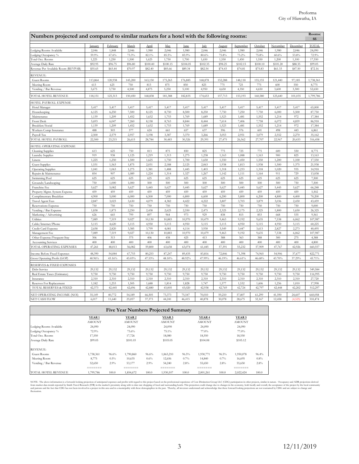|                   |                                                                                                                                                                                                                                              |                                                                                                                                                                                              |                                                                                                                                                                                                                                                     |                                                                                                                                                                                       |                                                                                                                                                                                                                                                    | Numbers projected and compared to similar markets for a hotel with the following rooms:                                                                                                                                              |                                                                                                                                                                                                                                                    |                                                                                                                                                                                       |                                                                                                                                                                                                                                        |                                                                                                                                                                                      |                                                                                                                                                                                   | Rooms:<br>66                                                                                                                                                                    |
|-------------------|----------------------------------------------------------------------------------------------------------------------------------------------------------------------------------------------------------------------------------------------|----------------------------------------------------------------------------------------------------------------------------------------------------------------------------------------------|-----------------------------------------------------------------------------------------------------------------------------------------------------------------------------------------------------------------------------------------------------|---------------------------------------------------------------------------------------------------------------------------------------------------------------------------------------|----------------------------------------------------------------------------------------------------------------------------------------------------------------------------------------------------------------------------------------------------|--------------------------------------------------------------------------------------------------------------------------------------------------------------------------------------------------------------------------------------|----------------------------------------------------------------------------------------------------------------------------------------------------------------------------------------------------------------------------------------------------|---------------------------------------------------------------------------------------------------------------------------------------------------------------------------------------|----------------------------------------------------------------------------------------------------------------------------------------------------------------------------------------------------------------------------------------|--------------------------------------------------------------------------------------------------------------------------------------------------------------------------------------|-----------------------------------------------------------------------------------------------------------------------------------------------------------------------------------|---------------------------------------------------------------------------------------------------------------------------------------------------------------------------------|
| January           | February                                                                                                                                                                                                                                     | March                                                                                                                                                                                        | April                                                                                                                                                                                                                                               | May                                                                                                                                                                                   | June                                                                                                                                                                                                                                               | July                                                                                                                                                                                                                                 | August                                                                                                                                                                                                                                             | September                                                                                                                                                                             | October                                                                                                                                                                                                                                | November                                                                                                                                                                             | December                                                                                                                                                                          | TOTAL                                                                                                                                                                           |
| 2,046             | 1,848                                                                                                                                                                                                                                        | 2,046                                                                                                                                                                                        | 1,980                                                                                                                                                                                                                                               | 2,046                                                                                                                                                                                 | 1,980                                                                                                                                                                                                                                              | 2,046                                                                                                                                                                                                                                | 2,046                                                                                                                                                                                                                                              | 1,980                                                                                                                                                                                 | 2,046                                                                                                                                                                                                                                  | 1,980                                                                                                                                                                                | 2,046                                                                                                                                                                             | 24,090                                                                                                                                                                          |
| 59.9%<br>1,225    | 67.6%                                                                                                                                                                                                                                        | 73.3%                                                                                                                                                                                        | 82.1%                                                                                                                                                                                                                                               | 85.5%                                                                                                                                                                                 | 85.9%                                                                                                                                                                                                                                              | 80.6%                                                                                                                                                                                                                                | 75.8%                                                                                                                                                                                                                                              | 73.2%                                                                                                                                                                                 | 75.8%                                                                                                                                                                                                                                  | 60.6%                                                                                                                                                                                | 53.8%                                                                                                                                                                             | 72.9%                                                                                                                                                                           |
| \$92.95           | 1,250<br>\$96.75                                                                                                                                                                                                                             | 1,500<br>\$96.80                                                                                                                                                                             | 1,625<br>\$100.40                                                                                                                                                                                                                                   | 1,750<br>\$100.15                                                                                                                                                                     | 1,700<br>\$104.05                                                                                                                                                                                                                                  | 1,650<br>\$102.35                                                                                                                                                                                                                    | 1,550<br>\$98.25                                                                                                                                                                                                                                   | 1,450<br>\$102.15                                                                                                                                                                     | 1,550<br>\$100.10                                                                                                                                                                                                                      | 1,200<br>\$101.20                                                                                                                                                                    | 1,100<br>\$88.35                                                                                                                                                                  | 17,550<br>\$99.05                                                                                                                                                               |
| \$55.65           | \$65.44                                                                                                                                                                                                                                      | \$70.97                                                                                                                                                                                      | \$82.40                                                                                                                                                                                                                                             | \$85.66                                                                                                                                                                               | \$89.34                                                                                                                                                                                                                                            | \$82.54                                                                                                                                                                                                                              | \$74.43                                                                                                                                                                                                                                            | \$74.81                                                                                                                                                                               | \$75.83                                                                                                                                                                                                                                | \$61.33                                                                                                                                                                              | \$47.50                                                                                                                                                                           | \$72.16                                                                                                                                                                         |
|                   |                                                                                                                                                                                                                                              |                                                                                                                                                                                              |                                                                                                                                                                                                                                                     |                                                                                                                                                                                       |                                                                                                                                                                                                                                                    |                                                                                                                                                                                                                                      |                                                                                                                                                                                                                                                    |                                                                                                                                                                                       |                                                                                                                                                                                                                                        |                                                                                                                                                                                      |                                                                                                                                                                                   |                                                                                                                                                                                 |
| 113,864           | 120,938                                                                                                                                                                                                                                      | 145,200                                                                                                                                                                                      | 163,150                                                                                                                                                                                                                                             | 175,263                                                                                                                                                                               | 176,885                                                                                                                                                                                                                                            | 168,878                                                                                                                                                                                                                              | 152,288                                                                                                                                                                                                                                            | 148,118                                                                                                                                                                               | 155,155                                                                                                                                                                                                                                | 121,440                                                                                                                                                                              | 97,185                                                                                                                                                                            | 1,738,361                                                                                                                                                                       |
| 613               | 625                                                                                                                                                                                                                                          | 750                                                                                                                                                                                          | 813                                                                                                                                                                                                                                                 | 875                                                                                                                                                                                   | 850                                                                                                                                                                                                                                                | 825                                                                                                                                                                                                                                  | 775                                                                                                                                                                                                                                                | 725                                                                                                                                                                                   | 775                                                                                                                                                                                                                                    | 600                                                                                                                                                                                  | 550                                                                                                                                                                               | 8,775                                                                                                                                                                           |
|                   |                                                                                                                                                                                                                                              |                                                                                                                                                                                              |                                                                                                                                                                                                                                                     |                                                                                                                                                                                       |                                                                                                                                                                                                                                                    |                                                                                                                                                                                                                                      |                                                                                                                                                                                                                                                    |                                                                                                                                                                                       |                                                                                                                                                                                                                                        |                                                                                                                                                                                      |                                                                                                                                                                                   | 52,650                                                                                                                                                                          |
| 118,151           | 125,313                                                                                                                                                                                                                                      | 150,450                                                                                                                                                                                      | 168,838                                                                                                                                                                                                                                             | 181,388                                                                                                                                                                               | 182,835                                                                                                                                                                                                                                            | 174,653                                                                                                                                                                                                                              | 157,713                                                                                                                                                                                                                                            | 153,193                                                                                                                                                                               | 160,580                                                                                                                                                                                                                                | 125,640                                                                                                                                                                              | 101,035                                                                                                                                                                           | 1,799,786                                                                                                                                                                       |
|                   |                                                                                                                                                                                                                                              |                                                                                                                                                                                              |                                                                                                                                                                                                                                                     |                                                                                                                                                                                       |                                                                                                                                                                                                                                                    |                                                                                                                                                                                                                                      |                                                                                                                                                                                                                                                    |                                                                                                                                                                                       |                                                                                                                                                                                                                                        |                                                                                                                                                                                      |                                                                                                                                                                                   |                                                                                                                                                                                 |
| 5,417             | 5,417                                                                                                                                                                                                                                        | 5,417                                                                                                                                                                                        | 5,417                                                                                                                                                                                                                                               | 5,417                                                                                                                                                                                 | 5,417                                                                                                                                                                                                                                              | 5,417                                                                                                                                                                                                                                | 5,417                                                                                                                                                                                                                                              | 5,417                                                                                                                                                                                 | 5,417                                                                                                                                                                                                                                  | 5,417                                                                                                                                                                                | 5,417                                                                                                                                                                             | 65,000                                                                                                                                                                          |
|                   |                                                                                                                                                                                                                                              |                                                                                                                                                                                              |                                                                                                                                                                                                                                                     |                                                                                                                                                                                       |                                                                                                                                                                                                                                                    |                                                                                                                                                                                                                                      |                                                                                                                                                                                                                                                    |                                                                                                                                                                                       |                                                                                                                                                                                                                                        |                                                                                                                                                                                      |                                                                                                                                                                                   | 87,750                                                                                                                                                                          |
|                   |                                                                                                                                                                                                                                              |                                                                                                                                                                                              |                                                                                                                                                                                                                                                     |                                                                                                                                                                                       |                                                                                                                                                                                                                                                    |                                                                                                                                                                                                                                      |                                                                                                                                                                                                                                                    |                                                                                                                                                                                       |                                                                                                                                                                                                                                        |                                                                                                                                                                                      |                                                                                                                                                                                   | 17,384<br>86,918                                                                                                                                                                |
| 1,139             | 1,209                                                                                                                                                                                                                                        | 1,452                                                                                                                                                                                        | 1,632                                                                                                                                                                                                                                               | 1,753                                                                                                                                                                                 | 1,769                                                                                                                                                                                                                                              | 1,689                                                                                                                                                                                                                                | 1,523                                                                                                                                                                                                                                              | 1,481                                                                                                                                                                                 | 1,552                                                                                                                                                                                                                                  | 1,214                                                                                                                                                                                | 972                                                                                                                                                                               | 17,384                                                                                                                                                                          |
| 488               | 503                                                                                                                                                                                                                                          | 577                                                                                                                                                                                          | 624                                                                                                                                                                                                                                                 | 661                                                                                                                                                                                   | 657                                                                                                                                                                                                                                                | 637                                                                                                                                                                                                                                  | 596                                                                                                                                                                                                                                                | 576                                                                                                                                                                                   | 601                                                                                                                                                                                                                                    | 498                                                                                                                                                                                  | 443                                                                                                                                                                               | 6,861                                                                                                                                                                           |
| 2,500             |                                                                                                                                                                                                                                              | 2,957                                                                                                                                                                                        | 3,198                                                                                                                                                                                                                                               | 3,387                                                                                                                                                                                 | 3,370                                                                                                                                                                                                                                              | 3,266                                                                                                                                                                                                                                | 3,053                                                                                                                                                                                                                                              | 2,951                                                                                                                                                                                 | 3,079                                                                                                                                                                                                                                  | 2,552                                                                                                                                                                                | 2,270                                                                                                                                                                             | 35,162                                                                                                                                                                          |
|                   |                                                                                                                                                                                                                                              |                                                                                                                                                                                              |                                                                                                                                                                                                                                                     |                                                                                                                                                                                       |                                                                                                                                                                                                                                                    |                                                                                                                                                                                                                                      |                                                                                                                                                                                                                                                    |                                                                                                                                                                                       |                                                                                                                                                                                                                                        |                                                                                                                                                                                      |                                                                                                                                                                                   | 316,458                                                                                                                                                                         |
|                   |                                                                                                                                                                                                                                              |                                                                                                                                                                                              |                                                                                                                                                                                                                                                     |                                                                                                                                                                                       |                                                                                                                                                                                                                                                    |                                                                                                                                                                                                                                      |                                                                                                                                                                                                                                                    |                                                                                                                                                                                       |                                                                                                                                                                                                                                        |                                                                                                                                                                                      |                                                                                                                                                                                   |                                                                                                                                                                                 |
|                   |                                                                                                                                                                                                                                              |                                                                                                                                                                                              |                                                                                                                                                                                                                                                     |                                                                                                                                                                                       |                                                                                                                                                                                                                                                    |                                                                                                                                                                                                                                      |                                                                                                                                                                                                                                                    |                                                                                                                                                                                       |                                                                                                                                                                                                                                        |                                                                                                                                                                                      |                                                                                                                                                                                   | 8,775<br>13,163                                                                                                                                                                 |
| 1,225             | 1,250                                                                                                                                                                                                                                        | 1,500                                                                                                                                                                                        | 1,625                                                                                                                                                                                                                                               | 1,750                                                                                                                                                                                 | 1,700                                                                                                                                                                                                                                              | 1,650                                                                                                                                                                                                                                | 1,550                                                                                                                                                                                                                                              | 1,450                                                                                                                                                                                 | 1,550                                                                                                                                                                                                                                  | 1,200                                                                                                                                                                                | 1,100                                                                                                                                                                             | 17,550                                                                                                                                                                          |
| 1,531             | 1,563                                                                                                                                                                                                                                        | 1,875                                                                                                                                                                                        | 2,031                                                                                                                                                                                                                                               | 2,188                                                                                                                                                                                 | 2,125                                                                                                                                                                                                                                              | 2,063                                                                                                                                                                                                                                | 1,938                                                                                                                                                                                                                                              | 1,813                                                                                                                                                                                 | 1,938                                                                                                                                                                                                                                  | 1,500                                                                                                                                                                                | 1,375                                                                                                                                                                             | 21,938                                                                                                                                                                          |
| 1,041             | 1,063                                                                                                                                                                                                                                        | 1,275                                                                                                                                                                                        | 1,381                                                                                                                                                                                                                                               | 1,488                                                                                                                                                                                 | 1,445                                                                                                                                                                                                                                              | 1,403                                                                                                                                                                                                                                | 1,318                                                                                                                                                                                                                                              | 1,233                                                                                                                                                                                 | 1,318                                                                                                                                                                                                                                  | 1,020                                                                                                                                                                                | 935                                                                                                                                                                               | 14,918                                                                                                                                                                          |
|                   |                                                                                                                                                                                                                                              |                                                                                                                                                                                              |                                                                                                                                                                                                                                                     |                                                                                                                                                                                       |                                                                                                                                                                                                                                                    |                                                                                                                                                                                                                                      |                                                                                                                                                                                                                                                    |                                                                                                                                                                                       |                                                                                                                                                                                                                                        |                                                                                                                                                                                      |                                                                                                                                                                                   | 13,038<br>7,500                                                                                                                                                                 |
|                   |                                                                                                                                                                                                                                              |                                                                                                                                                                                              |                                                                                                                                                                                                                                                     |                                                                                                                                                                                       |                                                                                                                                                                                                                                                    |                                                                                                                                                                                                                                      |                                                                                                                                                                                                                                                    |                                                                                                                                                                                       |                                                                                                                                                                                                                                        |                                                                                                                                                                                      |                                                                                                                                                                                   | 7,500                                                                                                                                                                           |
| 5,627             | 5,082                                                                                                                                                                                                                                        | 5,627                                                                                                                                                                                        | 5,445                                                                                                                                                                                                                                               | 5,627                                                                                                                                                                                 | 5,445                                                                                                                                                                                                                                              | 5,627                                                                                                                                                                                                                                | 5,627                                                                                                                                                                                                                                              | 5,445                                                                                                                                                                                 | 5,627                                                                                                                                                                                                                                  | 5,445                                                                                                                                                                                | 5,627                                                                                                                                                                             | 66,248                                                                                                                                                                          |
| 459               | 459                                                                                                                                                                                                                                          | 459                                                                                                                                                                                          | 459                                                                                                                                                                                                                                                 | 459                                                                                                                                                                                   | 459                                                                                                                                                                                                                                                | 459                                                                                                                                                                                                                                  | 459                                                                                                                                                                                                                                                | 459                                                                                                                                                                                   | 459                                                                                                                                                                                                                                    | 459                                                                                                                                                                                  | 459                                                                                                                                                                               | 5,502                                                                                                                                                                           |
|                   |                                                                                                                                                                                                                                              |                                                                                                                                                                                              |                                                                                                                                                                                                                                                     |                                                                                                                                                                                       |                                                                                                                                                                                                                                                    |                                                                                                                                                                                                                                      |                                                                                                                                                                                                                                                    |                                                                                                                                                                                       |                                                                                                                                                                                                                                        |                                                                                                                                                                                      |                                                                                                                                                                                   | 70,200                                                                                                                                                                          |
|                   |                                                                                                                                                                                                                                              |                                                                                                                                                                                              |                                                                                                                                                                                                                                                     |                                                                                                                                                                                       |                                                                                                                                                                                                                                                    |                                                                                                                                                                                                                                      |                                                                                                                                                                                                                                                    |                                                                                                                                                                                       |                                                                                                                                                                                                                                        |                                                                                                                                                                                      |                                                                                                                                                                                   | 43,459<br>9,000                                                                                                                                                                 |
| 1,838             | 1,875                                                                                                                                                                                                                                        | 2,250                                                                                                                                                                                        | 2,438                                                                                                                                                                                                                                               | 2,625                                                                                                                                                                                 | 2,550                                                                                                                                                                                                                                              | 2,475                                                                                                                                                                                                                                | 2,325                                                                                                                                                                                                                                              | 2,175                                                                                                                                                                                 | 2,325                                                                                                                                                                                                                                  | 1,800                                                                                                                                                                                | 1,650                                                                                                                                                                             | 26,325                                                                                                                                                                          |
| 626               | 665                                                                                                                                                                                                                                          | 799                                                                                                                                                                                          | 897                                                                                                                                                                                                                                                 | 964                                                                                                                                                                                   | 973                                                                                                                                                                                                                                                | 929                                                                                                                                                                                                                                  | 838                                                                                                                                                                                                                                                | 815                                                                                                                                                                                   | 853                                                                                                                                                                                                                                    | 668                                                                                                                                                                                  | 535                                                                                                                                                                               | 9,561                                                                                                                                                                           |
|                   |                                                                                                                                                                                                                                              |                                                                                                                                                                                              |                                                                                                                                                                                                                                                     |                                                                                                                                                                                       |                                                                                                                                                                                                                                                    |                                                                                                                                                                                                                                      |                                                                                                                                                                                                                                                    |                                                                                                                                                                                       |                                                                                                                                                                                                                                        |                                                                                                                                                                                      |                                                                                                                                                                                   | 107,987                                                                                                                                                                         |
|                   |                                                                                                                                                                                                                                              |                                                                                                                                                                                              |                                                                                                                                                                                                                                                     |                                                                                                                                                                                       |                                                                                                                                                                                                                                                    |                                                                                                                                                                                                                                      |                                                                                                                                                                                                                                                    |                                                                                                                                                                                       |                                                                                                                                                                                                                                        |                                                                                                                                                                                      |                                                                                                                                                                                   | 60,225<br>40,495                                                                                                                                                                |
| 7,089             | 7,519                                                                                                                                                                                                                                        | 9,027                                                                                                                                                                                        | 10,130                                                                                                                                                                                                                                              | 10,883                                                                                                                                                                                | 10,970                                                                                                                                                                                                                                             | 10,479                                                                                                                                                                                                                               | 9,463                                                                                                                                                                                                                                              | 9,192                                                                                                                                                                                 | 9,635                                                                                                                                                                                                                                  | 7,538                                                                                                                                                                                | 6,062                                                                                                                                                                             | 107,987                                                                                                                                                                         |
| 306               | 313                                                                                                                                                                                                                                          | 375                                                                                                                                                                                          | 406                                                                                                                                                                                                                                                 | 438                                                                                                                                                                                   | 425                                                                                                                                                                                                                                                | 413                                                                                                                                                                                                                                  | 388                                                                                                                                                                                                                                                | 363                                                                                                                                                                                   | 388                                                                                                                                                                                                                                    | 300                                                                                                                                                                                  | 275                                                                                                                                                                               | 4,388                                                                                                                                                                           |
| 400               | 400                                                                                                                                                                                                                                          | 400                                                                                                                                                                                          | 400                                                                                                                                                                                                                                                 | 400                                                                                                                                                                                   | 400                                                                                                                                                                                                                                                | 400                                                                                                                                                                                                                                  | 400                                                                                                                                                                                                                                                | 400                                                                                                                                                                                   | 400                                                                                                                                                                                                                                    | 400                                                                                                                                                                                  | 400                                                                                                                                                                               | 4,800                                                                                                                                                                           |
|                   |                                                                                                                                                                                                                                              |                                                                                                                                                                                              |                                                                                                                                                                                                                                                     |                                                                                                                                                                                       |                                                                                                                                                                                                                                                    |                                                                                                                                                                                                                                      |                                                                                                                                                                                                                                                    |                                                                                                                                                                                       |                                                                                                                                                                                                                                        |                                                                                                                                                                                      |                                                                                                                                                                                   | 660,557                                                                                                                                                                         |
| 48,390            | 54,084                                                                                                                                                                                                                                       | 67,753                                                                                                                                                                                       | 80,253                                                                                                                                                                                                                                              | 87,247                                                                                                                                                                                | 89,435                                                                                                                                                                                                                                             | 83,816                                                                                                                                                                                                                               | 72,846                                                                                                                                                                                                                                             | 71,398                                                                                                                                                                                | 74,965                                                                                                                                                                                                                                 | 54,906                                                                                                                                                                               | 37,677                                                                                                                                                                            | 822,771                                                                                                                                                                         |
|                   |                                                                                                                                                                                                                                              |                                                                                                                                                                                              |                                                                                                                                                                                                                                                     |                                                                                                                                                                                       |                                                                                                                                                                                                                                                    |                                                                                                                                                                                                                                      |                                                                                                                                                                                                                                                    |                                                                                                                                                                                       |                                                                                                                                                                                                                                        |                                                                                                                                                                                      |                                                                                                                                                                                   | 45.71%                                                                                                                                                                          |
|                   |                                                                                                                                                                                                                                              |                                                                                                                                                                                              |                                                                                                                                                                                                                                                     |                                                                                                                                                                                       |                                                                                                                                                                                                                                                    |                                                                                                                                                                                                                                      |                                                                                                                                                                                                                                                    |                                                                                                                                                                                       |                                                                                                                                                                                                                                        |                                                                                                                                                                                      |                                                                                                                                                                                   |                                                                                                                                                                                 |
|                   |                                                                                                                                                                                                                                              |                                                                                                                                                                                              |                                                                                                                                                                                                                                                     |                                                                                                                                                                                       |                                                                                                                                                                                                                                                    |                                                                                                                                                                                                                                      |                                                                                                                                                                                                                                                    |                                                                                                                                                                                       |                                                                                                                                                                                                                                        |                                                                                                                                                                                      |                                                                                                                                                                                   | 349,584<br>116,995                                                                                                                                                              |
|                   |                                                                                                                                                                                                                                              |                                                                                                                                                                                              |                                                                                                                                                                                                                                                     |                                                                                                                                                                                       |                                                                                                                                                                                                                                                    |                                                                                                                                                                                                                                      |                                                                                                                                                                                                                                                    |                                                                                                                                                                                       |                                                                                                                                                                                                                                        |                                                                                                                                                                                      |                                                                                                                                                                                   | 27,720                                                                                                                                                                          |
| 1,182             | 1,253                                                                                                                                                                                                                                        | 1,505                                                                                                                                                                                        | 1,688                                                                                                                                                                                                                                               | 1,814                                                                                                                                                                                 | 1,828                                                                                                                                                                                                                                              | 1,747                                                                                                                                                                                                                                | 1,577                                                                                                                                                                                                                                              | 1,532                                                                                                                                                                                 | 1,606                                                                                                                                                                                                                                  | 1,256                                                                                                                                                                                | 1,010                                                                                                                                                                             | 17,998                                                                                                                                                                          |
| 42,373            | 42,445                                                                                                                                                                                                                                       | 42,696                                                                                                                                                                                       | 42,880                                                                                                                                                                                                                                              | 43,005                                                                                                                                                                                | 43,020                                                                                                                                                                                                                                             | 42,938                                                                                                                                                                                                                               | 42,769                                                                                                                                                                                                                                             | 42,724                                                                                                                                                                                | 42,797                                                                                                                                                                                                                                 | 42,448                                                                                                                                                                               | 42,202                                                                                                                                                                            | 512,297                                                                                                                                                                         |
| 35,149            | 40,772                                                                                                                                                                                                                                       | 54,189                                                                                                                                                                                       | 66,505                                                                                                                                                                                                                                              | 73,373                                                                                                                                                                                | 75,547                                                                                                                                                                                                                                             | 70,010                                                                                                                                                                                                                               | 59,210                                                                                                                                                                                                                                             | 57,807                                                                                                                                                                                | 61,299                                                                                                                                                                                                                                 | 41,590                                                                                                                                                                               | 24,607                                                                                                                                                                            | 660,058                                                                                                                                                                         |
| 6,017             | 11,640                                                                                                                                                                                                                                       | 25,057                                                                                                                                                                                       | 37,373                                                                                                                                                                                                                                              | 44,241                                                                                                                                                                                | 46,415                                                                                                                                                                                                                                             | 40,878                                                                                                                                                                                                                               | 30,078                                                                                                                                                                                                                                             | 28,675                                                                                                                                                                                | 32,167                                                                                                                                                                                                                                 | 12,458                                                                                                                                                                               | (4,525)                                                                                                                                                                           | 310,474                                                                                                                                                                         |
|                   |                                                                                                                                                                                                                                              |                                                                                                                                                                                              |                                                                                                                                                                                                                                                     |                                                                                                                                                                                       |                                                                                                                                                                                                                                                    |                                                                                                                                                                                                                                      |                                                                                                                                                                                                                                                    |                                                                                                                                                                                       |                                                                                                                                                                                                                                        |                                                                                                                                                                                      |                                                                                                                                                                                   |                                                                                                                                                                                 |
|                   |                                                                                                                                                                                                                                              |                                                                                                                                                                                              |                                                                                                                                                                                                                                                     |                                                                                                                                                                                       |                                                                                                                                                                                                                                                    |                                                                                                                                                                                                                                      |                                                                                                                                                                                                                                                    |                                                                                                                                                                                       |                                                                                                                                                                                                                                        |                                                                                                                                                                                      |                                                                                                                                                                                   |                                                                                                                                                                                 |
|                   |                                                                                                                                                                                                                                              |                                                                                                                                                                                              |                                                                                                                                                                                                                                                     |                                                                                                                                                                                       |                                                                                                                                                                                                                                                    |                                                                                                                                                                                                                                      |                                                                                                                                                                                                                                                    |                                                                                                                                                                                       |                                                                                                                                                                                                                                        |                                                                                                                                                                                      |                                                                                                                                                                                   |                                                                                                                                                                                 |
|                   |                                                                                                                                                                                                                                              |                                                                                                                                                                                              |                                                                                                                                                                                                                                                     |                                                                                                                                                                                       |                                                                                                                                                                                                                                                    |                                                                                                                                                                                                                                      |                                                                                                                                                                                                                                                    |                                                                                                                                                                                       |                                                                                                                                                                                                                                        |                                                                                                                                                                                      |                                                                                                                                                                                   |                                                                                                                                                                                 |
| 72.9%             |                                                                                                                                                                                                                                              | 73.6%                                                                                                                                                                                        |                                                                                                                                                                                                                                                     | 75.1%                                                                                                                                                                                 |                                                                                                                                                                                                                                                    | 77.0%                                                                                                                                                                                                                                |                                                                                                                                                                                                                                                    | 77.0%                                                                                                                                                                                 |                                                                                                                                                                                                                                        |                                                                                                                                                                                      |                                                                                                                                                                                   |                                                                                                                                                                                 |
| 17,550            |                                                                                                                                                                                                                                              | 17,726                                                                                                                                                                                       |                                                                                                                                                                                                                                                     | 18,080                                                                                                                                                                                |                                                                                                                                                                                                                                                    | 18,550                                                                                                                                                                                                                               |                                                                                                                                                                                                                                                    | 18,550                                                                                                                                                                                |                                                                                                                                                                                                                                        |                                                                                                                                                                                      |                                                                                                                                                                                   |                                                                                                                                                                                 |
|                   |                                                                                                                                                                                                                                              |                                                                                                                                                                                              |                                                                                                                                                                                                                                                     |                                                                                                                                                                                       |                                                                                                                                                                                                                                                    |                                                                                                                                                                                                                                      |                                                                                                                                                                                                                                                    |                                                                                                                                                                                       |                                                                                                                                                                                                                                        |                                                                                                                                                                                      |                                                                                                                                                                                   |                                                                                                                                                                                 |
|                   |                                                                                                                                                                                                                                              |                                                                                                                                                                                              |                                                                                                                                                                                                                                                     |                                                                                                                                                                                       |                                                                                                                                                                                                                                                    |                                                                                                                                                                                                                                      |                                                                                                                                                                                                                                                    |                                                                                                                                                                                       |                                                                                                                                                                                                                                        |                                                                                                                                                                                      |                                                                                                                                                                                   |                                                                                                                                                                                 |
| 1,738,361         | 96.6%                                                                                                                                                                                                                                        | 1,790,860                                                                                                                                                                                    | 96.6%                                                                                                                                                                                                                                               | 1,863,210                                                                                                                                                                             | 96.5%                                                                                                                                                                                                                                              | 1,930,771                                                                                                                                                                                                                            | 96.5%                                                                                                                                                                                                                                              | 1,950,078                                                                                                                                                                             | 96.4%                                                                                                                                                                                                                                  |                                                                                                                                                                                      |                                                                                                                                                                                   |                                                                                                                                                                                 |
| 8,775             | 0.5%                                                                                                                                                                                                                                         | 10,635                                                                                                                                                                                       | 0.6%                                                                                                                                                                                                                                                | 12,656                                                                                                                                                                                | 0.7%                                                                                                                                                                                                                                               | 14,840                                                                                                                                                                                                                               | 0.7%                                                                                                                                                                                                                                               | 16,695                                                                                                                                                                                | $0.8\%$                                                                                                                                                                                                                                |                                                                                                                                                                                      |                                                                                                                                                                                   |                                                                                                                                                                                 |
|                   | 2.9%                                                                                                                                                                                                                                         | 53,177                                                                                                                                                                                       | 2.9%                                                                                                                                                                                                                                                | 54,240                                                                                                                                                                                | 2.8%                                                                                                                                                                                                                                               | 55,650                                                                                                                                                                                                                               | 2.8%                                                                                                                                                                                                                                               | 55,650                                                                                                                                                                                | 2.8%                                                                                                                                                                                                                                   |                                                                                                                                                                                      |                                                                                                                                                                                   |                                                                                                                                                                                 |
| 52,650<br>======= |                                                                                                                                                                                                                                              | $=$ $=$ $=$ $=$ $=$ $=$ $=$                                                                                                                                                                  | 100.0                                                                                                                                                                                                                                               | =======<br>1,930,107                                                                                                                                                                  | 100.0                                                                                                                                                                                                                                              | $=$<br>2,001,261                                                                                                                                                                                                                     | 100.0                                                                                                                                                                                                                                              | $=$<br>2,022,424                                                                                                                                                                      | 100.0                                                                                                                                                                                                                                  |                                                                                                                                                                                      |                                                                                                                                                                                   |                                                                                                                                                                                 |
|                   | 3,675<br>6,125<br>1,139<br>5,693<br>22,500<br>613<br>919<br>854<br>625<br>750<br>4,900<br>2,847<br>750<br>7,089<br>5,115<br>2,658<br>47,261<br>40.96%<br>29,132<br>9.750<br>2,310<br>YEAR <sub>1</sub><br><b>AMOUNT</b><br>24,090<br>\$99.05 | 3,750<br>6,250<br>1,209<br>6,047<br>2,579<br>23,215<br>625<br>938<br>907<br>625<br>1,000<br>5,000<br>3,023<br>750<br>7,519<br>4,620<br>2,820<br>48,013<br>43.16%<br>29,132<br>9.750<br>2,310 | 4,500<br>7,500<br>1,452<br>7,260<br>26,615<br>750<br>1,125<br>1,089<br>625<br>1,000<br>6,000<br>3,630<br>750<br>9,027<br>5,115<br>3,385<br>56,082<br>45.03%<br>29,132<br>9.750<br>2,310<br>YEAR <sub>2</sub><br><b>AMOUNT</b><br>24,090<br>\$101.03 | 4,875<br>8,125<br>1,632<br>8,158<br>28,784<br>813<br>1,219<br>1,224<br>625<br>500<br>6,500<br>4,079<br>750<br>10,130<br>4,950<br>3,799<br>59,800<br>47.53%<br>29,132<br>9750<br>2,310 | 5,250<br>8,750<br>1,753<br>8,763<br>30,483<br>875<br>1,313<br>1,314<br>625<br>500<br>7,000<br>4,382<br>750<br>10,883<br>5,115<br>4,081<br>63,658<br>48.10%<br>29,132<br>0.750<br>2,310<br>YEAR <sub>3</sub><br><b>AMOUNT</b><br>24,090<br>\$103.05 | 5,100<br>8,500<br>1,769<br>8,844<br>30,326<br>850<br>1,275<br>1,327<br>625<br>500<br>6,800<br>4,422<br>750<br>10,970<br>4,950<br>4,114<br>63,074<br>48.92%<br>29,132<br>0.750<br>2,310<br><b>Five Year Numbers Projected Summary</b> | 4,950<br>8,250<br>1,689<br>8,444<br>29,391<br>825<br>1,238<br>1,267<br>625<br>500<br>6,600<br>4,222<br>750<br>10,479<br>5,115<br>3,930<br>61,445<br>47.99%<br>29,132<br>0.750<br>2,310<br>YEAR <sub>4</sub><br><b>AMOUNT</b><br>24,090<br>\$104.08 | 4,650<br>7,750<br>1,523<br>7,614<br>27,475<br>775<br>1,163<br>1,142<br>625<br>500<br>6,200<br>3,807<br>750<br>9,463<br>5,115<br>3,549<br>57,391<br>46.19%<br>29,132<br>0.750<br>2,310 | 4,350<br>7,250<br>1,481<br>7,406<br>26,562<br>725<br>1,088<br>1,111<br>625<br>500<br>5,800<br>3,703<br>750<br>9,192<br>4,950<br>3,447<br>55,232<br>46.61%<br>29,132<br>0.750<br>2,310<br>YEAR 5<br><b>AMOUNT</b><br>24,090<br>\$105.12 | 4,650<br>7,750<br>1,552<br>7,758<br>27,707<br>775<br>1,163<br>1,164<br>625<br>500<br>6,200<br>3,879<br>750<br>9,635<br>5,115<br>3,613<br>57,909<br>46.68%<br>29,132<br>9750<br>2,310 | 3,600<br>6,000<br>1,214<br>6,072<br>22,967<br>600<br>900<br>911<br>625<br>500<br>4,800<br>3,036<br>750<br>7,538<br>4,950<br>2,827<br>47,767<br>43.70%<br>29,132<br>9.750<br>2,310 | 3,300<br>5,500<br>972<br>4,859<br>20,433<br>550<br>825<br>729<br>625<br>750<br>4,400<br>2,430<br>750<br>6,062<br>5,115<br>2,273<br>42,926<br>37.29%<br>29,132<br>0.750<br>2,310 |

|                         |                   |       |                   |       | <b>Five Year Numbers Projected Summary</b> |       |                   |       |                   |       |
|-------------------------|-------------------|-------|-------------------|-------|--------------------------------------------|-------|-------------------|-------|-------------------|-------|
|                         | YEAR <sub>1</sub> |       | YEAR <sub>2</sub> |       | YEAR <sub>3</sub>                          |       | YEAR <sub>4</sub> |       | YEAR <sub>5</sub> |       |
|                         | <b>AMOUNT</b>     |       | <b>AMOUNT</b>     |       | <b>AMOUNT</b>                              |       | <b>AMOUNT</b>     |       | <b>AMOUNT</b>     |       |
| Lodging Rooms Available | 24,090            |       | 24,090            |       | 24,090                                     |       | 24,090            |       | 24,090            |       |
| Lodging Occupancy %     | 72.9%             |       | 73.6%             |       | 75.1%                                      |       | 77.0%             |       | 77.0%             |       |
| Total Occ. Rooms        | 17,550            |       | 17,726            |       | 18,080                                     |       | 18,550            |       | 18,550            |       |
| Average Daily Rate      | \$99.05           |       | \$101.03          |       | \$103.05                                   |       | \$104.08          |       | \$105.12          |       |
| <b>REVENUE:</b>         |                   |       |                   |       |                                            |       |                   |       |                   |       |
| Guest Rooms             | 1,738,361         | 96.6% | 1,790,860         | 96.6% | 1,863,210                                  | 96.5% | 1,930,771         | 96.5% | 1,950,078         | 96.4% |
| Meeting Room            | 8,775             | 0.5%  | 10,635            | 0.6%  | 12,656                                     | 0.7%  | 14,840            | 0.7%  | 16,695            | 0.8%  |
| Vending / Bar Revenue   | 52,650            | 2.9%  | 53,177            | 2.9%  | 54.240                                     | 2.8%  | 55,650            | 2.8%  | 55,650            | 2.8%  |
|                         |                   |       |                   |       | --------<br>----------                     |       |                   |       | -----<br>------   |       |
| TOTAL HOTEL REVENUE     | 1.799.786         | 100.0 | 1.854.672         | 100.0 | 1,930,107                                  | 100.0 | 2,001,261         | 100.0 | 2,022,424         | 100.0 |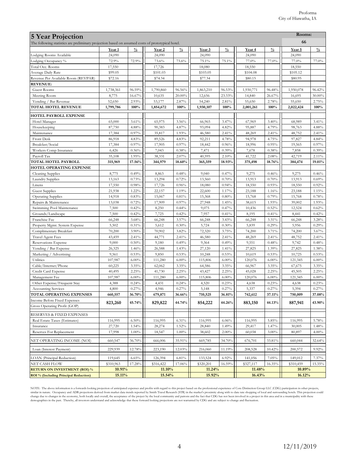| $\frac{0}{0}$<br>72.9%<br>96.59%<br>16.67%<br>2.93%<br>100%<br>3.61%<br>4.88%<br>0.97%<br>4.83%<br>0.97%<br>0.36%<br>1.95% | The following statistics are preliminary projection based on assumed costs of prototypical hotel.<br>Year 2<br>24,090<br>73.6%<br>17,726<br>\$101.03<br>\$74.34<br>1,790,860<br>10,635<br>53,177<br>1,854,672<br>65,975<br>90,383<br>35,817<br>89,526 | $\frac{0}{0}$<br>73.6%<br>96.56%<br>20.00%<br>2.87%<br>100%<br>3.56%<br>4.87%                                       | Year 3<br>24,090<br>75.1%<br>18,080<br>\$103.05<br>\$77.34<br>1,863,210<br>12,656<br>54,240<br>1,930,107         | $\frac{0}{0}$<br>75.1%<br>96.53%<br>23.33%<br>2.81%<br>100%                                                          | Year <sub>4</sub><br>24,090<br>77.0%<br>18,550<br>\$104.08<br>\$80.15<br>1,930,771<br>14,840<br>55,650<br>2,001,261 | $\frac{0}{0}$<br>77.0%<br>96.48%<br>26.67%<br>2.78%<br>100%                                                          | 66<br>Year 5<br>24,090<br>77.0%<br>18,550<br>\$105.12<br>\$80.95<br>1,950,078<br>16,695<br>55,650<br>2,022,424   | $\frac{0}{0}$<br>77.0%<br>96.42%<br>30.00%<br>2.75%                                                                  |
|----------------------------------------------------------------------------------------------------------------------------|-------------------------------------------------------------------------------------------------------------------------------------------------------------------------------------------------------------------------------------------------------|---------------------------------------------------------------------------------------------------------------------|------------------------------------------------------------------------------------------------------------------|----------------------------------------------------------------------------------------------------------------------|---------------------------------------------------------------------------------------------------------------------|----------------------------------------------------------------------------------------------------------------------|------------------------------------------------------------------------------------------------------------------|----------------------------------------------------------------------------------------------------------------------|
|                                                                                                                            |                                                                                                                                                                                                                                                       |                                                                                                                     |                                                                                                                  |                                                                                                                      |                                                                                                                     |                                                                                                                      |                                                                                                                  |                                                                                                                      |
|                                                                                                                            |                                                                                                                                                                                                                                                       |                                                                                                                     |                                                                                                                  |                                                                                                                      |                                                                                                                     |                                                                                                                      |                                                                                                                  |                                                                                                                      |
|                                                                                                                            |                                                                                                                                                                                                                                                       |                                                                                                                     |                                                                                                                  |                                                                                                                      |                                                                                                                     |                                                                                                                      |                                                                                                                  |                                                                                                                      |
|                                                                                                                            |                                                                                                                                                                                                                                                       |                                                                                                                     |                                                                                                                  |                                                                                                                      |                                                                                                                     |                                                                                                                      |                                                                                                                  |                                                                                                                      |
|                                                                                                                            |                                                                                                                                                                                                                                                       |                                                                                                                     |                                                                                                                  |                                                                                                                      |                                                                                                                     |                                                                                                                      |                                                                                                                  |                                                                                                                      |
|                                                                                                                            |                                                                                                                                                                                                                                                       |                                                                                                                     |                                                                                                                  |                                                                                                                      |                                                                                                                     |                                                                                                                      |                                                                                                                  |                                                                                                                      |
|                                                                                                                            |                                                                                                                                                                                                                                                       |                                                                                                                     |                                                                                                                  |                                                                                                                      |                                                                                                                     |                                                                                                                      |                                                                                                                  |                                                                                                                      |
|                                                                                                                            |                                                                                                                                                                                                                                                       |                                                                                                                     |                                                                                                                  |                                                                                                                      |                                                                                                                     |                                                                                                                      |                                                                                                                  |                                                                                                                      |
|                                                                                                                            |                                                                                                                                                                                                                                                       |                                                                                                                     |                                                                                                                  |                                                                                                                      |                                                                                                                     |                                                                                                                      |                                                                                                                  |                                                                                                                      |
|                                                                                                                            |                                                                                                                                                                                                                                                       |                                                                                                                     |                                                                                                                  |                                                                                                                      |                                                                                                                     |                                                                                                                      |                                                                                                                  | 100%                                                                                                                 |
|                                                                                                                            |                                                                                                                                                                                                                                                       |                                                                                                                     |                                                                                                                  |                                                                                                                      |                                                                                                                     |                                                                                                                      |                                                                                                                  |                                                                                                                      |
|                                                                                                                            |                                                                                                                                                                                                                                                       |                                                                                                                     | 66,965                                                                                                           | 3.47%                                                                                                                | 67,969                                                                                                              | 3.40%                                                                                                                | 68,989                                                                                                           | 3.41%                                                                                                                |
|                                                                                                                            |                                                                                                                                                                                                                                                       |                                                                                                                     | 93,094                                                                                                           | 4.82%                                                                                                                | 95,887                                                                                                              | 4.79%                                                                                                                | 98,763                                                                                                           | 4.88%                                                                                                                |
|                                                                                                                            |                                                                                                                                                                                                                                                       | 1.93%                                                                                                               | 46,580                                                                                                           | 2.41%                                                                                                                | 48,269                                                                                                              | 2.41%                                                                                                                | 48,752                                                                                                           | 2.41%                                                                                                                |
|                                                                                                                            |                                                                                                                                                                                                                                                       | 4.83%                                                                                                               | 92,211                                                                                                           | 4.78%                                                                                                                | 94,978                                                                                                              | 4.75%                                                                                                                | 97,827                                                                                                           | 4.84%                                                                                                                |
|                                                                                                                            | 17,905                                                                                                                                                                                                                                                | 0.97%<br>0.38%                                                                                                      | 18,442<br>7,471                                                                                                  | 0.96%<br>0.39%                                                                                                       | 18,996<br>7,678                                                                                                     | 0.95%                                                                                                                | 19,565<br>7,858                                                                                                  | 0.97%<br>0.39%                                                                                                       |
|                                                                                                                            | 7,043<br>38,331                                                                                                                                                                                                                                       | 2.07%                                                                                                               | 40,595                                                                                                           | 2.10%                                                                                                                | 41,722                                                                                                              | 0.38%<br>2.08%                                                                                                       | 42,719                                                                                                           | 2.11%                                                                                                                |
| 17.56%                                                                                                                     | 344,979                                                                                                                                                                                                                                               | 18.60%                                                                                                              | 365,359                                                                                                          | 18.93%                                                                                                               | 375,498                                                                                                             | 18.76%                                                                                                               | 384,474                                                                                                          | 19.01%                                                                                                               |
|                                                                                                                            |                                                                                                                                                                                                                                                       |                                                                                                                     |                                                                                                                  |                                                                                                                      |                                                                                                                     |                                                                                                                      |                                                                                                                  |                                                                                                                      |
| 0.49%                                                                                                                      | 8,863                                                                                                                                                                                                                                                 | 0.48%                                                                                                               | 9,040                                                                                                            | 0.47%                                                                                                                | 9,275                                                                                                               | 0.46%                                                                                                                | 9,275                                                                                                            | 0.46%                                                                                                                |
| 0.73%                                                                                                                      | 13,294                                                                                                                                                                                                                                                | 0.72%                                                                                                               | 13,560                                                                                                           | 0.70%                                                                                                                | 13,913                                                                                                              | 0.70%                                                                                                                | 13,913                                                                                                           | 0.69%<br>0.92%                                                                                                       |
| 1.22%                                                                                                                      |                                                                                                                                                                                                                                                       |                                                                                                                     |                                                                                                                  |                                                                                                                      |                                                                                                                     |                                                                                                                      |                                                                                                                  | 1.15%                                                                                                                |
| 0.83%                                                                                                                      | 15,067                                                                                                                                                                                                                                                | 0.81%                                                                                                               | 15,368                                                                                                           | 0.80%                                                                                                                | 15,768                                                                                                              | 0.79%                                                                                                                | 15,768                                                                                                           | 0.78%                                                                                                                |
| 0.72%                                                                                                                      | 17,909                                                                                                                                                                                                                                                | 0.97%                                                                                                               | 27,948                                                                                                           | 1.45%                                                                                                                | 38,615                                                                                                              | 1.93%                                                                                                                | 39,002                                                                                                           | 1.93%                                                                                                                |
| 0.42%                                                                                                                      | 8,250                                                                                                                                                                                                                                                 | 0.44%                                                                                                               | 9,075                                                                                                            | 0.47%                                                                                                                | 10,436                                                                                                              | 0.52%                                                                                                                | 12,524                                                                                                           | 0.62%                                                                                                                |
|                                                                                                                            |                                                                                                                                                                                                                                                       |                                                                                                                     |                                                                                                                  |                                                                                                                      |                                                                                                                     |                                                                                                                      |                                                                                                                  | 0.42%                                                                                                                |
|                                                                                                                            |                                                                                                                                                                                                                                                       |                                                                                                                     |                                                                                                                  |                                                                                                                      |                                                                                                                     |                                                                                                                      |                                                                                                                  | 3.28%<br>0.29%                                                                                                       |
| 3.90%                                                                                                                      | 70,902                                                                                                                                                                                                                                                | 3.82%                                                                                                               | 72,320                                                                                                           | 3.75%                                                                                                                | 74,200                                                                                                              | 3.71%                                                                                                                | 74,200                                                                                                           | 3.67%                                                                                                                |
| 2.41%                                                                                                                      | 44,771                                                                                                                                                                                                                                                | 2.41%                                                                                                               | 46,580                                                                                                           | 2.41%                                                                                                                | 48,269                                                                                                              | 2.41%                                                                                                                | 48,752                                                                                                           | 2.41%                                                                                                                |
| 0.50%                                                                                                                      | 9,180                                                                                                                                                                                                                                                 | 0.49%                                                                                                               | 9,364                                                                                                            | 0.49%                                                                                                                | 9,551                                                                                                               | 0.48%                                                                                                                | 9,742                                                                                                            | 0.48%                                                                                                                |
| 1.46%                                                                                                                      | 26,588                                                                                                                                                                                                                                                | 1.43%                                                                                                               | 27,120                                                                                                           | 1.41%                                                                                                                | 27,825                                                                                                              | 1.39%                                                                                                                | 27,825                                                                                                           | 1.38%                                                                                                                |
|                                                                                                                            |                                                                                                                                                                                                                                                       |                                                                                                                     |                                                                                                                  |                                                                                                                      |                                                                                                                     |                                                                                                                      |                                                                                                                  | 0.53%<br>6.00%                                                                                                       |
|                                                                                                                            |                                                                                                                                                                                                                                                       |                                                                                                                     |                                                                                                                  |                                                                                                                      |                                                                                                                     |                                                                                                                      |                                                                                                                  | 3.35%                                                                                                                |
| 2.25%                                                                                                                      | 41,730                                                                                                                                                                                                                                                | 2.25%                                                                                                               | 43,427                                                                                                           | 2.25%                                                                                                                | 45,028                                                                                                              | 2.25%                                                                                                                | 45,505                                                                                                           | 2.25%                                                                                                                |
| $6.00\%$                                                                                                                   | 111,280                                                                                                                                                                                                                                               | $6.00\%$                                                                                                            | 115,806                                                                                                          | $6.00\%$                                                                                                             | 120,076                                                                                                             | $6.00\%$                                                                                                             | 121,345                                                                                                          | $6.00\%$                                                                                                             |
| 0.24%                                                                                                                      | 4,431                                                                                                                                                                                                                                                 | 0.24%                                                                                                               | 4,520                                                                                                            | 0.23%                                                                                                                | 4,638                                                                                                               | 0.23%                                                                                                                | 4,638                                                                                                            | 0.23%                                                                                                                |
|                                                                                                                            |                                                                                                                                                                                                                                                       |                                                                                                                     |                                                                                                                  |                                                                                                                      |                                                                                                                     |                                                                                                                      |                                                                                                                  | 0.27%<br>37.08%                                                                                                      |
|                                                                                                                            |                                                                                                                                                                                                                                                       |                                                                                                                     |                                                                                                                  |                                                                                                                      |                                                                                                                     |                                                                                                                      |                                                                                                                  |                                                                                                                      |
|                                                                                                                            |                                                                                                                                                                                                                                                       |                                                                                                                     |                                                                                                                  |                                                                                                                      |                                                                                                                     |                                                                                                                      |                                                                                                                  | 43.90%                                                                                                               |
|                                                                                                                            |                                                                                                                                                                                                                                                       |                                                                                                                     |                                                                                                                  |                                                                                                                      |                                                                                                                     |                                                                                                                      |                                                                                                                  |                                                                                                                      |
| 6.50%                                                                                                                      | 116,995                                                                                                                                                                                                                                               | 6.31%                                                                                                               | 116,995                                                                                                          | 6.06%                                                                                                                | 116,995                                                                                                             | 5.85%                                                                                                                | 116,995                                                                                                          | 5.78%                                                                                                                |
| 1.54%                                                                                                                      | 28,274                                                                                                                                                                                                                                                | 1.52%                                                                                                               | 28,840                                                                                                           | 1.49%                                                                                                                | 29,417                                                                                                              | 1.47%                                                                                                                | 30,005                                                                                                           | 1.48%                                                                                                                |
|                                                                                                                            |                                                                                                                                                                                                                                                       |                                                                                                                     |                                                                                                                  |                                                                                                                      |                                                                                                                     |                                                                                                                      |                                                                                                                  | $4.00\%$                                                                                                             |
| 36.70%                                                                                                                     | 666,006                                                                                                                                                                                                                                               | 35.91%                                                                                                              | 669,785                                                                                                          | 34.70%                                                                                                               | 676,701                                                                                                             | 33.81%                                                                                                               | 660,044                                                                                                          | 32.64%                                                                                                               |
| 12.78%                                                                                                                     | 223,190                                                                                                                                                                                                                                               | 12.03%                                                                                                              | 216,060                                                                                                          | 11.19%                                                                                                               | 208,528                                                                                                             | 10.42%                                                                                                               | 200,572                                                                                                          | 9.92%                                                                                                                |
| 6.65%                                                                                                                      | 126,394                                                                                                                                                                                                                                               | 6.81%                                                                                                               | 133,524                                                                                                          | 6.92%                                                                                                                | 141,056                                                                                                             | 7.05%                                                                                                                | 149,012                                                                                                          | 7.37%                                                                                                                |
| 17.28%                                                                                                                     | \$316,422                                                                                                                                                                                                                                             | 17.06%                                                                                                              | \$320,201                                                                                                        | 16.59%                                                                                                               | \$327,117                                                                                                           | 16.35%                                                                                                               | \$310,459                                                                                                        | 15.35%                                                                                                               |
| 10.91%                                                                                                                     | 11.10%                                                                                                                                                                                                                                                |                                                                                                                     |                                                                                                                  |                                                                                                                      |                                                                                                                     |                                                                                                                      |                                                                                                                  |                                                                                                                      |
| 15.11%                                                                                                                     | 15.54%                                                                                                                                                                                                                                                |                                                                                                                     | 11.24%<br>15.92%                                                                                                 |                                                                                                                      | 11.48%<br>16.43%                                                                                                    |                                                                                                                      | 10.89%<br>16.12%                                                                                                 |                                                                                                                      |
| 823,260                                                                                                                    | 0.98%<br>0.42%<br>3.68%<br>0.31%<br>0.53%<br>6.00%<br>3.35%<br>0.27%<br>36.70%<br>45.74%<br>$1.00\%$                                                                                                                                                  | 17,726<br>22,157<br>7,725<br>66,248<br>5,612<br>9,850<br>111,280<br>62,062<br>4,946<br>679,871<br>829,822<br>18,547 | 0.96%<br>1.19%<br>0.42%<br>3.57%<br>0.30%<br>0.53%<br>$6.00\%$<br>3.35%<br>0.27%<br>36.66%<br>44.74%<br>$1.00\%$ | 18,080<br>22,600<br>7,957<br>66,248<br>5,724<br>10,248<br>115,806<br>64,586<br>5,148<br>710,525<br>854,222<br>38,602 | 0.94%<br>1.17%<br>0.41%<br>3.43%<br>0.30%<br>0.53%<br>$6.00\%$<br>3.35%<br>0.27%<br>36.81%<br>44.26%<br>$2.00\%$    | 18,550<br>23,188<br>8,195<br>66,248<br>5,839<br>10,619<br>120,076<br>66,967<br>5,337<br>742,612<br>883,150<br>60,038 | 0.93%<br>1.16%<br>0.41%<br>3.31%<br>0.29%<br>0.53%<br>$6.00\%$<br>3.35%<br>0.27%<br>37.11%<br>44.13%<br>$3.00\%$ | 18,550<br>23,188<br>8,441<br>66,248<br>5,956<br>10,725<br>121,345<br>67,675<br>5,394<br>750,009<br>887,941<br>80,897 |